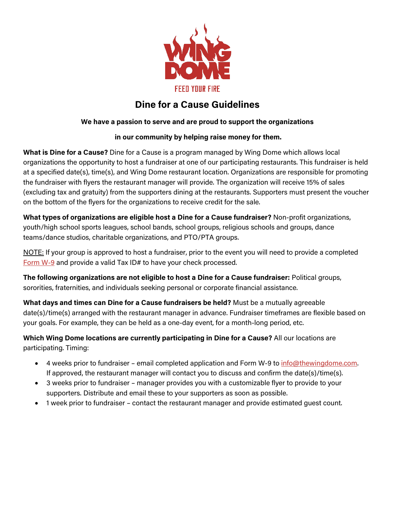

# **Dine for a Cause Guidelines**

# **We have a passion to serve and are proud to support the organizations**

# **in our community by helping raise money for them.**

**What is Dine for a Cause?** Dine for a Cause is a program managed by Wing Dome which allows local organizations the opportunity to host a fundraiser at one of our participating restaurants. This fundraiser is held at a specified date(s), time(s), and Wing Dome restaurant location. Organizations are responsible for promoting the fundraiser with flyers the restaurant manager will provide. The organization will receive 15% of sales (excluding tax and gratuity) from the supporters dining at the restaurants. Supporters must present the voucher on the bottom of the flyers for the organizations to receive credit for the sale.

**What types of organizations are eligible host a Dine for a Cause fundraiser?** Non-profit organizations, youth/high school sports leagues, school bands, school groups, religious schools and groups, dance teams/dance studios, charitable organizations, and PTO/PTA groups.

NOTE: If your group is approved to host a fundraiser, prior to the event you will need to provide a completed [Form W-9](https://www.irs.gov/forms-pubs/about-form-w-9) and provide a valid Tax ID# to have your check processed.

**The following organizations are not eligible to host a Dine for a Cause fundraiser:** Political groups, sororities, fraternities, and individuals seeking personal or corporate financial assistance.

**What days and times can Dine for a Cause fundraisers be held?** Must be a mutually agreeable date(s)/time(s) arranged with the restaurant manager in advance. Fundraiser timeframes are flexible based on your goals. For example, they can be held as a one-day event, for a month-long period, etc.

**Which Wing Dome locations are currently participating in Dine for a Cause?** All our locations are participating. Timing:

- 4 weeks prior to fundraiser email completed application and Form W-9 to [info@thewingdome.com.](mailto:info@thewingdome.com) If approved, the restaurant manager will contact you to discuss and confirm the date(s)/time(s).
- 3 weeks prior to fundraiser manager provides you with a customizable flyer to provide to your supporters. Distribute and email these to your supporters as soon as possible.
- 1 week prior to fundraiser contact the restaurant manager and provide estimated guest count.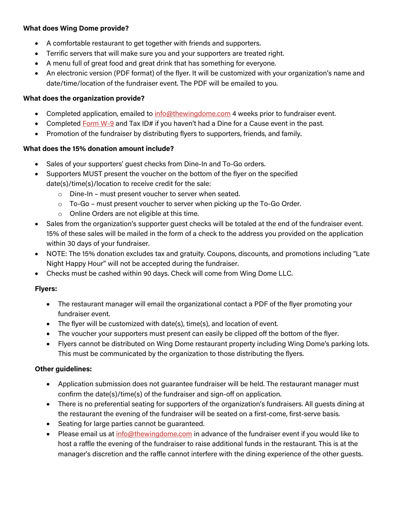# **What does Wing Dome provide?**

- A comfortable restaurant to get together with friends and supporters.
- Terrific servers that will make sure you and your supporters are treated right.
- A menu full of great food and great drink that has something for everyone.
- An electronic version (PDF format) of the flyer. It will be customized with your organization's name and date/time/location of the fundraiser event. The PDF will be emailed to you.

#### **What does the organization provide?**

- Completed application, emailed to [info@thewingdome.com](mailto:info@thewingdome.com) 4 weeks prior to fundraiser event.
- Completed [Form W-9](https://www.irs.gov/forms-pubs/about-form-w-9) and Tax ID# if you haven't had a Dine for a Cause event in the past.
- Promotion of the fundraiser by distributing flyers to supporters, friends, and family.

# **What does the 15% donation amount include?**

- Sales of your supporters' guest checks from Dine-In and To-Go orders.
- Supporters MUST present the voucher on the bottom of the flyer on the specified date(s)/time(s)/location to receive credit for the sale:
	- o Dine-In must present voucher to server when seated.
	- $\circ$  To-Go must present voucher to server when picking up the To-Go Order.
	- o Online Orders are not eligible at this time.
- Sales from the organization's supporter quest checks will be totaled at the end of the fundraiser event. 15% of these sales will be mailed in the form of a check to the address you provided on the application within 30 days of your fundraiser.
- NOTE: The 15% donation excludes tax and gratuity. Coupons, discounts, and promotions including "Late Night Happy Hour" will not be accepted during the fundraiser.
- Checks must be cashed within 90 days. Check will come from Wing Dome LLC.

# **Flyers:**

- The restaurant manager will email the organizational contact a PDF of the flyer promoting your fundraiser event.
- The flyer will be customized with date(s), time(s), and location of event.
- The voucher your supporters must present can easily be clipped off the bottom of the flyer.
- Flyers cannot be distributed on Wing Dome restaurant property including Wing Dome's parking lots. This must be communicated by the organization to those distributing the flyers.

# **Other guidelines:**

- Application submission does not guarantee fundraiser will be held. The restaurant manager must confirm the date(s)/time(s) of the fundraiser and sign-off on application.
- There is no preferential seating for supporters of the organization's fundraisers. All guests dining at the restaurant the evening of the fundraiser will be seated on a first-come, first-serve basis.
- Seating for large parties cannot be guaranteed.
- Please email us at [info@thewingdome.com](mailto:info@thewingdome.com) in advance of the fundraiser event if you would like to host a raffle the evening of the fundraiser to raise additional funds in the restaurant. This is at the manager's discretion and the raffle cannot interfere with the dining experience of the other guests.